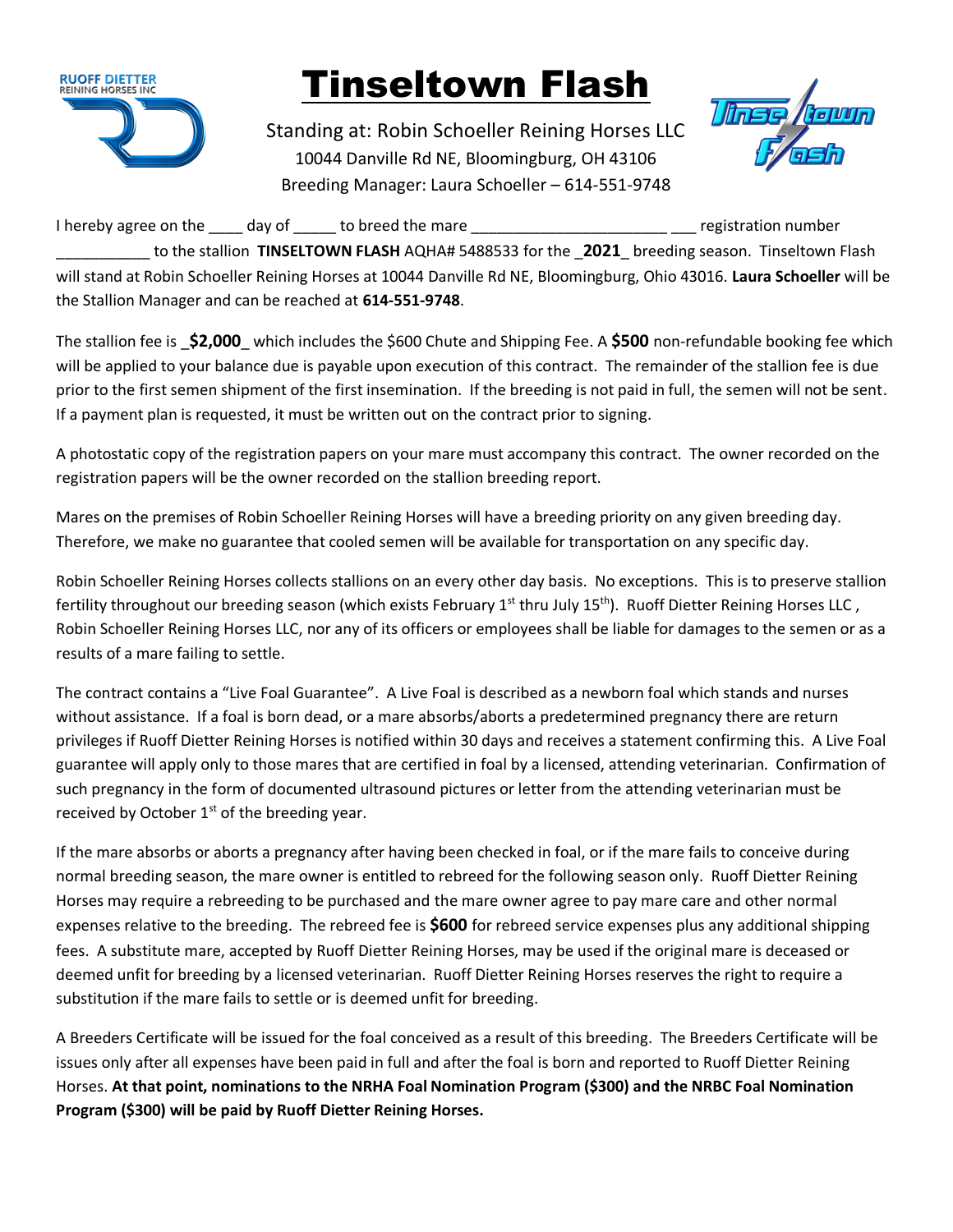

## Tinseltown Flash

Standing at: Robin Schoeller Reining Horses LLC 10044 Danville Rd NE, Bloomingburg, OH 43106 Breeding Manager: Laura Schoeller – 614-551-9748



I hereby agree on the day of to breed the mare the match the mare the mare the segistration number to the stallion **TINSELTOWN FLASH** AQHA# 5488533 for the **2021** breeding season. Tinseltown Flash will stand at Robin Schoeller Reining Horses at 10044 Danville Rd NE, Bloomingburg, Ohio 43016. **Laura Schoeller** will be the Stallion Manager and can be reached at **614-551-9748**.

The stallion fee is \_**\$2,000**\_ which includes the \$600 Chute and Shipping Fee. A **\$500** non-refundable booking fee which will be applied to your balance due is payable upon execution of this contract. The remainder of the stallion fee is due prior to the first semen shipment of the first insemination. If the breeding is not paid in full, the semen will not be sent. If a payment plan is requested, it must be written out on the contract prior to signing.

A photostatic copy of the registration papers on your mare must accompany this contract. The owner recorded on the registration papers will be the owner recorded on the stallion breeding report.

Mares on the premises of Robin Schoeller Reining Horses will have a breeding priority on any given breeding day. Therefore, we make no guarantee that cooled semen will be available for transportation on any specific day.

Robin Schoeller Reining Horses collects stallions on an every other day basis. No exceptions. This is to preserve stallion fertility throughout our breeding season (which exists February 1<sup>st</sup> thru July 15<sup>th</sup>). Ruoff Dietter Reining Horses LLC, Robin Schoeller Reining Horses LLC, nor any of its officers or employees shall be liable for damages to the semen or as a results of a mare failing to settle.

The contract contains a "Live Foal Guarantee". A Live Foal is described as a newborn foal which stands and nurses without assistance. If a foal is born dead, or a mare absorbs/aborts a predetermined pregnancy there are return privileges if Ruoff Dietter Reining Horses is notified within 30 days and receives a statement confirming this. A Live Foal guarantee will apply only to those mares that are certified in foal by a licensed, attending veterinarian. Confirmation of such pregnancy in the form of documented ultrasound pictures or letter from the attending veterinarian must be received by October  $1<sup>st</sup>$  of the breeding year.

If the mare absorbs or aborts a pregnancy after having been checked in foal, or if the mare fails to conceive during normal breeding season, the mare owner is entitled to rebreed for the following season only. Ruoff Dietter Reining Horses may require a rebreeding to be purchased and the mare owner agree to pay mare care and other normal expenses relative to the breeding. The rebreed fee is **\$600** for rebreed service expenses plus any additional shipping fees. A substitute mare, accepted by Ruoff Dietter Reining Horses, may be used if the original mare is deceased or deemed unfit for breeding by a licensed veterinarian. Ruoff Dietter Reining Horses reserves the right to require a substitution if the mare fails to settle or is deemed unfit for breeding.

A Breeders Certificate will be issued for the foal conceived as a result of this breeding. The Breeders Certificate will be issues only after all expenses have been paid in full and after the foal is born and reported to Ruoff Dietter Reining Horses. **At that point, nominations to the NRHA Foal Nomination Program (\$300) and the NRBC Foal Nomination Program (\$300) will be paid by Ruoff Dietter Reining Horses.**